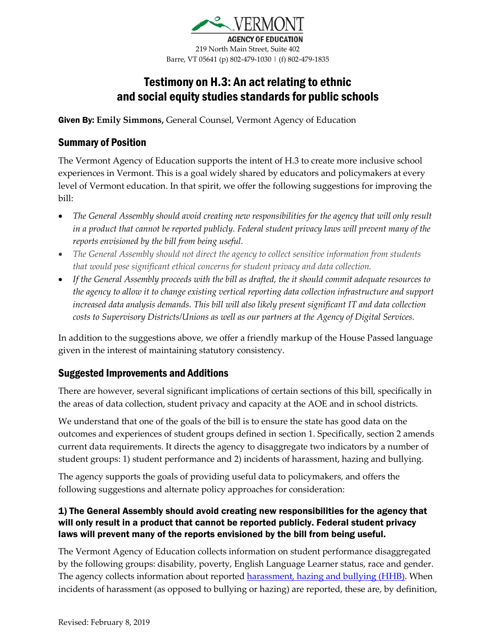

219 North Main Street, Suite 402 Barre, VT 05641 (p) 802-479-1030 | (f) 802-479-1835

# Testimony on H.3: An act relating to ethnic and social equity studies standards for public schools

Given By: **Emily Simmons,** General Counsel, Vermont Agency of Education

#### Summary of Position

The Vermont Agency of Education supports the intent of H.3 to create more inclusive school experiences in Vermont. This is a goal widely shared by educators and policymakers at every level of Vermont education. In that spirit, we offer the following suggestions for improving the bill:

- *The General Assembly should avoid creating new responsibilities for the agency that will only result in a product that cannot be reported publicly. Federal student privacy laws will prevent many of the reports envisioned by the bill from being useful.*
- *The General Assembly should not direct the agency to collect sensitive information from students that would pose significant ethical concerns for student privacy and data collection.*
- *If the General Assembly proceeds with the bill as drafted, the it should commit adequate resources to the agency to allow it to change existing vertical reporting data collection infrastructure and support increased data analysis demands. This bill will also likely present significant IT and data collection costs to Supervisory Districts/Unions as well as our partners at the Agency of Digital Services.*

In addition to the suggestions above, we offer a friendly markup of the House Passed language given in the interest of maintaining statutory consistency.

### Suggested Improvements and Additions

There are however, several significant implications of certain sections of this bill, specifically in the areas of data collection, student privacy and capacity at the AOE and in school districts.

We understand that one of the goals of the bill is to ensure the state has good data on the outcomes and experiences of student groups defined in section 1. Specifically, section 2 amends current data requirements. It directs the agency to disaggregate two indicators by a number of student groups: 1) student performance and 2) incidents of harassment, hazing and bullying.

The agency supports the goals of providing useful data to policymakers, and offers the following suggestions and alternate policy approaches for consideration:

#### 1) The General Assembly should avoid creating new responsibilities for the agency that will only result in a product that cannot be reported publicly. Federal student privacy laws will prevent many of the reports envisioned by the bill from being useful.

The Vermont Agency of Education collects information on student performance disaggregated by the following groups: disability, poverty, English Language Learner status, race and gender. The agency collects information about reported **harassment**, hazing and bullying (HHB). When incidents of harassment (as opposed to bullying or hazing) are reported, these are, by definition,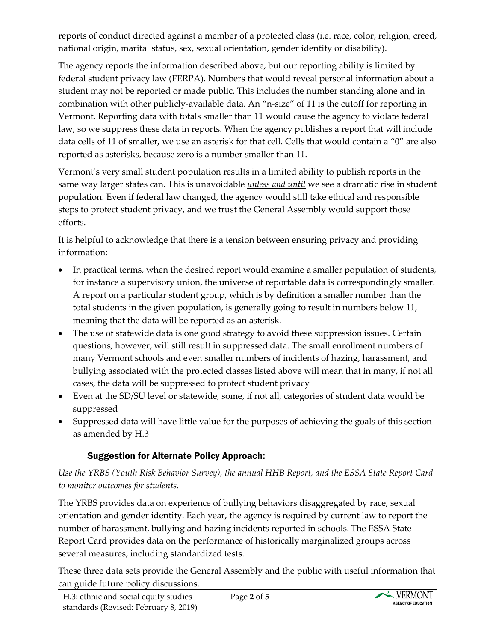reports of conduct directed against a member of a protected class (i.e. race, color, religion, creed, national origin, marital status, sex, sexual orientation, gender identity or disability).

The agency reports the information described above, but our reporting ability is limited by federal student privacy law (FERPA). Numbers that would reveal personal information about a student may not be reported or made public. This includes the number standing alone and in combination with other publicly-available data. An "n-size" of 11 is the cutoff for reporting in Vermont. Reporting data with totals smaller than 11 would cause the agency to violate federal law, so we suppress these data in reports. When the agency publishes a report that will include data cells of 11 of smaller, we use an asterisk for that cell. Cells that would contain a "0" are also reported as asterisks, because zero is a number smaller than 11.

Vermont's very small student population results in a limited ability to publish reports in the same way larger states can. This is unavoidable *unless and until* we see a dramatic rise in student population. Even if federal law changed, the agency would still take ethical and responsible steps to protect student privacy, and we trust the General Assembly would support those efforts.

It is helpful to acknowledge that there is a tension between ensuring privacy and providing information:

- In practical terms, when the desired report would examine a smaller population of students, for instance a supervisory union, the universe of reportable data is correspondingly smaller. A report on a particular student group, which is by definition a smaller number than the total students in the given population, is generally going to result in numbers below 11, meaning that the data will be reported as an asterisk.
- The use of statewide data is one good strategy to avoid these suppression issues. Certain questions, however, will still result in suppressed data. The small enrollment numbers of many Vermont schools and even smaller numbers of incidents of hazing, harassment, and bullying associated with the protected classes listed above will mean that in many, if not all cases, the data will be suppressed to protect student privacy
- Even at the SD/SU level or statewide, some, if not all, categories of student data would be suppressed
- Suppressed data will have little value for the purposes of achieving the goals of this section as amended by H.3

### Suggestion for Alternate Policy Approach:

*Use the YRBS (Youth Risk Behavior Survey), the annual HHB Report, and the ESSA State Report Card to monitor outcomes for students.* 

The YRBS provides data on experience of bullying behaviors disaggregated by race, sexual orientation and gender identity. Each year, the agency is required by current law to report the number of harassment, bullying and hazing incidents reported in schools. The ESSA State Report Card provides data on the performance of historically marginalized groups across several measures, including standardized tests.

These three data sets provide the General Assembly and the public with useful information that can guide future policy discussions.

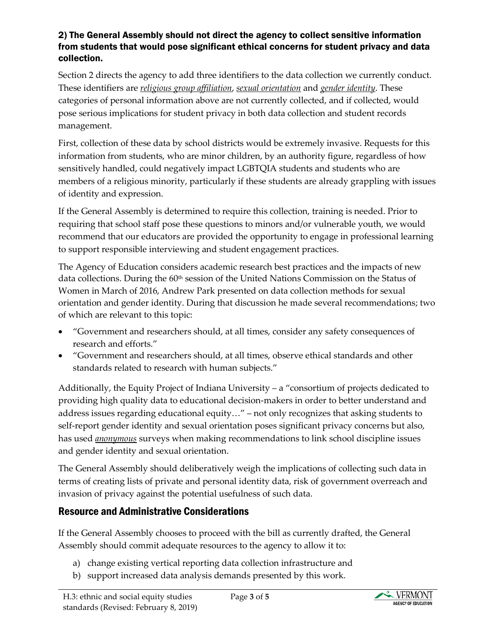#### 2) The General Assembly should not direct the agency to collect sensitive information from students that would pose significant ethical concerns for student privacy and data collection.

Section 2 directs the agency to add three identifiers to the data collection we currently conduct. These identifiers are *religious group affiliation*, *sexual orientation* and *gender identity*. These categories of personal information above are not currently collected, and if collected, would pose serious implications for student privacy in both data collection and student records management.

First, collection of these data by school districts would be extremely invasive. Requests for this information from students, who are minor children, by an authority figure, regardless of how sensitively handled, could negatively impact LGBTQIA students and students who are members of a religious minority, particularly if these students are already grappling with issues of identity and expression.

If the General Assembly is determined to require this collection, training is needed. Prior to requiring that school staff pose these questions to minors and/or vulnerable youth, we would recommend that our educators are provided the opportunity to engage in professional learning to support responsible interviewing and student engagement practices.

The Agency of Education considers academic research best practices and the impacts of new data collections. During the 60<sup>th</sup> session of the United Nations Commission on the Status of Women in March of 2016, Andrew Park presented on data collection methods for sexual orientation and gender identity. During that discussion he made several recommendations; two of which are relevant to this topic:

- "Government and researchers should, at all times, consider any safety consequences of research and efforts."
- "Government and researchers should, at all times, observe ethical standards and other standards related to research with human subjects."

Additionally, the Equity Project of Indiana University – a "consortium of projects dedicated to providing high quality data to educational decision-makers in order to better understand and address issues regarding educational equity…" – not only recognizes that asking students to self-report gender identity and sexual orientation poses significant privacy concerns but also, has used *anonymous* surveys when making recommendations to link school discipline issues and gender identity and sexual orientation.

The General Assembly should deliberatively weigh the implications of collecting such data in terms of creating lists of private and personal identity data, risk of government overreach and invasion of privacy against the potential usefulness of such data.

## Resource and Administrative Considerations

If the General Assembly chooses to proceed with the bill as currently drafted, the General Assembly should commit adequate resources to the agency to allow it to:

- a) change existing vertical reporting data collection infrastructure and
- b) support increased data analysis demands presented by this work.

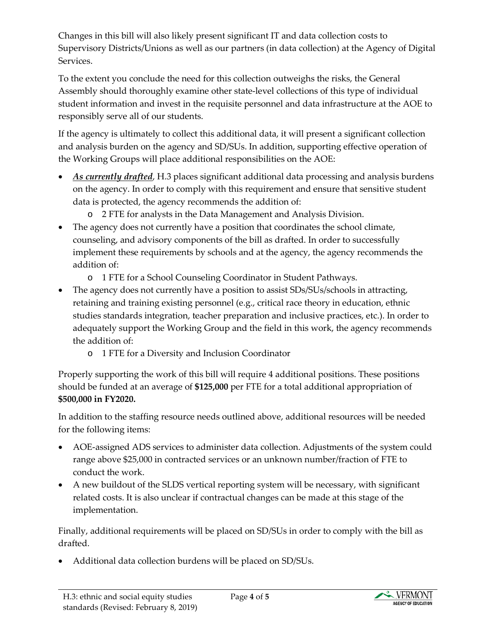Changes in this bill will also likely present significant IT and data collection costs to Supervisory Districts/Unions as well as our partners (in data collection) at the Agency of Digital Services.

To the extent you conclude the need for this collection outweighs the risks, the General Assembly should thoroughly examine other state-level collections of this type of individual student information and invest in the requisite personnel and data infrastructure at the AOE to responsibly serve all of our students.

If the agency is ultimately to collect this additional data, it will present a significant collection and analysis burden on the agency and SD/SUs. In addition, supporting effective operation of the Working Groups will place additional responsibilities on the AOE:

- *As currently drafted*, H.3 places significant additional data processing and analysis burdens on the agency. In order to comply with this requirement and ensure that sensitive student data is protected, the agency recommends the addition of:
	- o 2 FTE for analysts in the Data Management and Analysis Division.
- The agency does not currently have a position that coordinates the school climate, counseling, and advisory components of the bill as drafted. In order to successfully implement these requirements by schools and at the agency, the agency recommends the addition of:
	- o 1 FTE for a School Counseling Coordinator in Student Pathways.
- The agency does not currently have a position to assist SDs/SUs/schools in attracting, retaining and training existing personnel (e.g., critical race theory in education, ethnic studies standards integration, teacher preparation and inclusive practices, etc.). In order to adequately support the Working Group and the field in this work, the agency recommends the addition of:
	- o 1 FTE for a Diversity and Inclusion Coordinator

Properly supporting the work of this bill will require 4 additional positions. These positions should be funded at an average of **\$125,000** per FTE for a total additional appropriation of **\$500,000 in FY2020.**

In addition to the staffing resource needs outlined above, additional resources will be needed for the following items:

- AOE-assigned ADS services to administer data collection. Adjustments of the system could range above \$25,000 in contracted services or an unknown number/fraction of FTE to conduct the work.
- A new buildout of the SLDS vertical reporting system will be necessary, with significant related costs. It is also unclear if contractual changes can be made at this stage of the implementation.

Finally, additional requirements will be placed on SD/SUs in order to comply with the bill as drafted.

• Additional data collection burdens will be placed on SD/SUs.